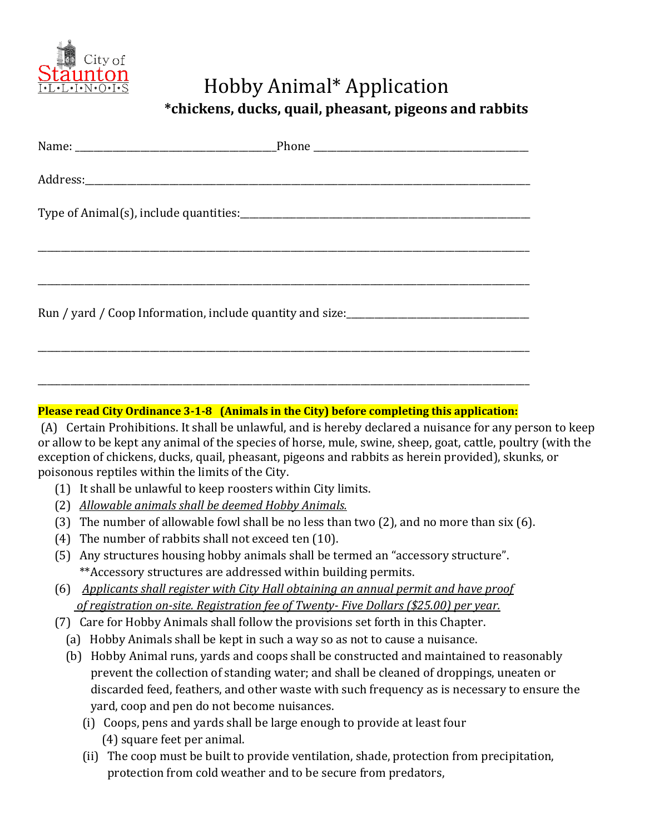

## Hobby Animal\* Application

 **\*chickens, ducks, quail, pheasant, pigeons and rabbits**

## **Please read City Ordinance 3-1-8 (Animals in the City) before completing this application:**

(A) Certain Prohibitions. It shall be unlawful, and is hereby declared a nuisance for any person to keep or allow to be kept any animal of the species of horse, mule, swine, sheep, goat, cattle, poultry (with the exception of chickens, ducks, quail, pheasant, pigeons and rabbits as herein provided), skunks, or poisonous reptiles within the limits of the City.

- (1) It shall be unlawful to keep roosters within City limits.
- (2) *Allowable animals shall be deemed Hobby Animals.*
- (3) The number of allowable fowl shall be no less than two (2), and no more than six (6).
- (4) The number of rabbits shall not exceed ten (10).
- (5) Any structures housing hobby animals shall be termed an "accessory structure". \*\*Accessory structures are addressed within building permits.
- (6) *Applicants shall register with City Hall obtaining an annual permit and have proof of registration on-site. Registration fee of Twenty- Five Dollars (\$25.00) per year.*
- (7) Care for Hobby Animals shall follow the provisions set forth in this Chapter.
	- (a) Hobby Animals shall be kept in such a way so as not to cause a nuisance.
	- (b) Hobby Animal runs, yards and coops shall be constructed and maintained to reasonably prevent the collection of standing water; and shall be cleaned of droppings, uneaten or discarded feed, feathers, and other waste with such frequency as is necessary to ensure the yard, coop and pen do not become nuisances.
		- (i) Coops, pens and yards shall be large enough to provide at least four (4) square feet per animal.
		- (ii) The coop must be built to provide ventilation, shade, protection from precipitation, protection from cold weather and to be secure from predators,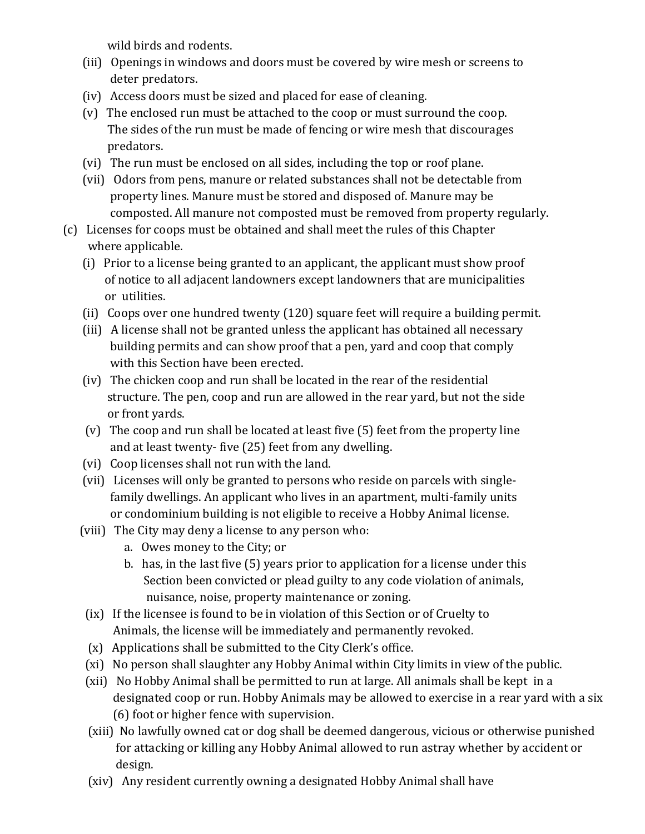wild birds and rodents.

- (iii) Openings in windows and doors must be covered by wire mesh or screens to deter predators.
- (iv) Access doors must be sized and placed for ease of cleaning.
- (v) The enclosed run must be attached to the coop or must surround the coop. The sides of the run must be made of fencing or wire mesh that discourages predators.
- (vi) The run must be enclosed on all sides, including the top or roof plane.
- (vii) Odors from pens, manure or related substances shall not be detectable from property lines. Manure must be stored and disposed of. Manure may be composted. All manure not composted must be removed from property regularly.
- (c) Licenses for coops must be obtained and shall meet the rules of this Chapter where applicable.
	- (i) Prior to a license being granted to an applicant, the applicant must show proof of notice to all adjacent landowners except landowners that are municipalities or utilities.
	- (ii) Coops over one hundred twenty (120) square feet will require a building permit.
	- (iii) A license shall not be granted unless the applicant has obtained all necessary building permits and can show proof that a pen, yard and coop that comply with this Section have been erected.
	- (iv) The chicken coop and run shall be located in the rear of the residential structure. The pen, coop and run are allowed in the rear yard, but not the side or front yards.
	- (v) The coop and run shall be located at least five (5) feet from the property line and at least twenty- five (25) feet from any dwelling.
	- (vi) Coop licenses shall not run with the land.
	- (vii) Licenses will only be granted to persons who reside on parcels with single family dwellings. An applicant who lives in an apartment, multi-family units or condominium building is not eligible to receive a Hobby Animal license.
	- (viii) The City may deny a license to any person who:
		- a. Owes money to the City; or
		- b. has, in the last five (5) years prior to application for a license under this Section been convicted or plead guilty to any code violation of animals, nuisance, noise, property maintenance or zoning.
	- (ix) If the licensee is found to be in violation of this Section or of Cruelty to Animals, the license will be immediately and permanently revoked.
	- (x) Applications shall be submitted to the City Clerk's office.
	- (xi) No person shall slaughter any Hobby Animal within City limits in view of the public.
	- (xii) No Hobby Animal shall be permitted to run at large. All animals shall be kept in a designated coop or run. Hobby Animals may be allowed to exercise in a rear yard with a six (6) foot or higher fence with supervision.
	- (xiii) No lawfully owned cat or dog shall be deemed dangerous, vicious or otherwise punished for attacking or killing any Hobby Animal allowed to run astray whether by accident or design.
	- (xiv) Any resident currently owning a designated Hobby Animal shall have